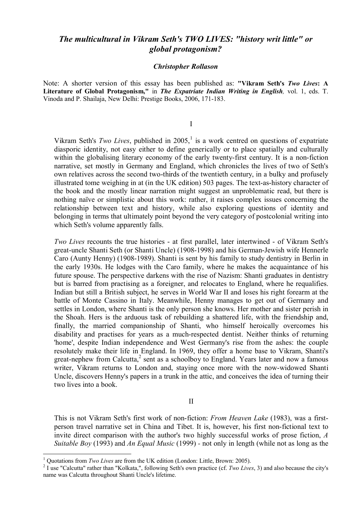## *The multicultural in Vikram Seth's TWO LIVES: "history writ little" or global protagonism?*

## *Christopher Rollason*

Note: A shorter version of this essay has been published as: **"Vikram Seth's** *Two Lives***: A Literature of Global Protagonism,"** in *The Expatriate Indian Writing in English,* vol. 1, eds. T. Vinoda and P. Shailaja, New Delhi: Prestige Books, 2006, 171-183.

I

Vikram Seth's *Two Lives*, published in 2005, 1 is a work centred on questions of expatriate diasporic identity, not easy either to define generically or to place spatially and culturally within the globalising literary economy of the early twenty-first century. It is a non-fiction narrative, set mostly in Germany and England, which chronicles the lives of two of Seth's own relatives across the second two-thirds of the twentieth century, in a bulky and profusely illustrated tome weighing in at (in the UK edition) 503 pages. The text-as-history character of the book and the mostly linear narration might suggest an unproblematic read, but there is nothing naïve or simplistic about this work: rather, it raises complex issues concerning the relationship between text and history, while also exploring questions of identity and belonging in terms that ultimately point beyond the very category of postcolonial writing into which Seth's volume apparently falls.

*Two Lives* recounts the true histories - at first parallel, later intertwined - of Vikram Seth's great-uncle Shanti Seth (or Shanti Uncle) (1908-1998) and his German-Jewish wife Hennerle Caro (Aunty Henny) (1908-1989). Shanti is sent by his family to study dentistry in Berlin in the early 1930s. He lodges with the Caro family, where he makes the acquaintance of his future spouse. The perspective darkens with the rise of Nazism: Shanti graduates in dentistry but is barred from practising as a foreigner, and relocates to England, where he requalifies. Indian but still a British subject, he serves in World War II and loses his right forearm at the battle of Monte Cassino in Italy. Meanwhile, Henny manages to get out of Germany and settles in London, where Shanti is the only person she knows. Her mother and sister perish in the Shoah. Hers is the arduous task of rebuilding a shattered life, with the friendship and, finally, the married companionship of Shanti, who himself heroically overcomes his disability and practises for years as a much-respected dentist. Neither thinks of returning 'home', despite Indian independence and West Germany's rise from the ashes: the couple resolutely make their life in England. In 1969, they offer a home base to Vikram, Shanti's great-nephew from Calcutta, 2 sent as a schoolboy to England. Years later and now a famous writer, Vikram returns to London and, staying once more with the now-widowed Shanti Uncle, discovers Henny's papers in a trunk in the attic, and conceives the idea of turning their two lives into a book.

II

This is not Vikram Seth's first work of non-fiction: *From Heaven Lake* (1983), was a firstperson travel narrative set in China and Tibet. It is, however, his first non-fictional text to invite direct comparison with the author's two highly successful works of prose fiction, *A Suitable Boy* (1993) and *An Equal Music* (1999) *-* not only in length (while not as long as the

<sup>&</sup>lt;sup>1</sup> Quotations from *Two Lives* are from the UK edition (London: Little, Brown: 2005).

<sup>2</sup> I use "Calcutta" rather than "Kolkata,", following Seth's own practice (cf. *Two Lives*, 3) and also because the city's name was Calcutta throughout Shanti Uncle's lifetime.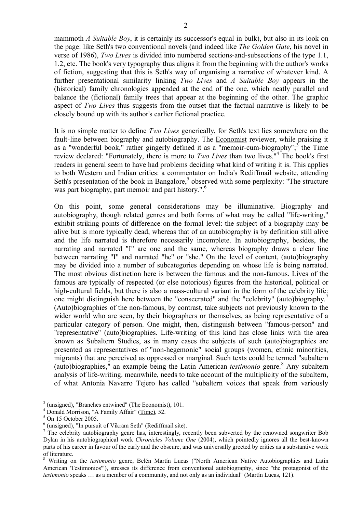mammoth *A Suitable Boy*, it is certainly its successor's equal in bulk), but also in its look on the page: like Seth's two conventional novels (and indeed like *The Golden Gate*, his novel in verse of 1986), *Two Lives* is divided into numbered sections-and-subsections of the type 1.1, 1.2, etc. The book's very typography thus aligns it from the beginning with the author's works of fiction, suggesting that this is Seth's way of organising a narrative of whatever kind. A further presentational similarity linking *Two Lives* and *A Suitable Boy* appears in the (historical) family chronologies appended at the end of the one, which neatly parallel and balance the (fictional) family trees that appear at the beginning of the other. The graphic aspect of *Two Lives* thus suggests from the outset that the factual narrative is likely to be closely bound up with its author's earlier fictional practice.

It is no simple matter to define *Two Lives* generically, for Seth's text lies somewhere on the fault-line between biography and autobiography. The Economist reviewer, while praising it as a "wonderful book," rather gingerly defined it as a "memoir-cum-biography";<sup>3</sup> the Time review declared: "Fortunately, there is more to *Two Lives* than two lives." 4 The book's first readers in general seem to have had problems deciding what kind of writing it is. This applies to both Western and Indian critics: a commentator on India's Rediffmail website, attending Seth's presentation of the book in Bangalore,<sup>5</sup> observed with some perplexity: "The structure was part biography, part memoir and part history.".<sup>6</sup>

On this point, some general considerations may be illuminative. Biography and autobiography, though related genres and both forms of what may be called "life-writing," exhibit striking points of difference on the formal level: the subject of a biography may be alive but is more typically dead, whereas that of an autobiography is by definition still alive and the life narrated is therefore necessarily incomplete. In autobiography, besides, the narrating and narrated "I" are one and the same, whereas biography draws a clear line between narrating "I" and narrated "he" or "she." On the level of content, (auto)biography may be divided into a number of subcategories depending on whose life is being narrated. The most obvious distinction here is between the famous and the non-famous. Lives of the famous are typically of respected (or else notorious) figures from the historical, political or high-cultural fields, but there is also a mass-cultural variant in the form of the celebrity life: one might distinguish here between the "consecrated" and the "celebrity" (auto)biography.<sup>7</sup> (Auto)biographies of the non-famous, by contrast, take subjects not previously known to the wider world who are seen, by their biographers or themselves, as being representative of a particular category of person. One might, then, distinguish between "famous-person" and "representative" (auto)biographies. Life-writing of this kind has close links with the area known as Subaltern Studies, as in many cases the subjects of such (auto)biographies are presented as representatives of "non-hegemonic" social groups (women, ethnic minorities, migrants) that are perceived as oppressed or marginal. Such texts could be termed "subaltern (auto)biographies," an example being the Latin American *testimonio* genre. <sup>8</sup> Any subaltern analysis of life-writing. meanwhile, needs to take account of the multiplicity of the subaltern, of what Antonia Navarro Tejero has called "subaltern voices that speak from variously

 $3$  (unsigned), "Branches entwined" (The Economist), 101.

<sup>4</sup> Donald Morrison, "A Family Affair" (Time), 52.

 $5$  On 15 October 2005.

<sup>6</sup> (unsigned), "In pursuit of Vikram Seth" (Rediffmail site).

<sup>&</sup>lt;sup>7</sup> The celebrity autobiography genre has, interestingly, recently been subverted by the renowned songwriter Bob Dylan in his autobiographical work *Chronicles Volume One* (2004), which pointedly ignores all the best-known parts of his career in favour of the early and the obscure, and was universally greeted by critics as a substantive work of literature.

<sup>8</sup> Writing on the *testimonio* genre, Belén Martín Lucas ("North American Native Autobiographies and Latin American 'Testimonios'"), stresses its difference from conventional autobiography, since "the protagonist of the *testimonio* speaks … as a member of a community, and not only as an individual" (Martín Lucas, 121).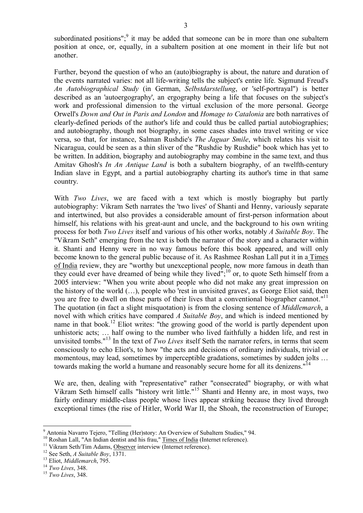subordinated positions";<sup>9</sup> it may be added that someone can be in more than one subaltern position at once, or, equally, in a subaltern position at one moment in their life but not another.

Further, beyond the question of who an (auto)biography is about, the nature and duration of the events narrated varies: not all life-writing tells the subject's entire life. Sigmund Freud's *An Autobiographical Study* (in German, *Selbstdarstellung*, or 'self-portrayal") is better described as an 'autoergography', an ergography being a life that focuses on the subject's work and professional dimension to the virtual exclusion of the more personal. George Orwell's *Down and Out in Paris and London* and *Homage to Catalonia* are both narratives of clearly-defined periods of the author's life and could thus be called partial autobiographies; and autobiography, though not biography, in some cases shades into travel writing or vice versa, so that, for instance, Salman Rushdie's *The Jaguar Smile*, which relates his visit to Nicaragua, could be seen as a thin sliver of the "Rushdie by Rushdie" book which has yet to be written. In addition, biography and autobiography may combine in the same text, and thus Amitav Ghosh's *In An Antique Land* is both a subaltern biography, of an twelfth-century Indian slave in Egypt, and a partial autobiography charting its author's time in that same country.

With *Two Lives*, we are faced with a text which is mostly biography but partly autobiography: Vikram Seth narrates the 'two lives' of Shanti and Henny, variously separate and intertwined, but also provides a considerable amount of first-person information about himself, his relations with his great-aunt and uncle, and the background to his own writing process for both *Two Lives* itself and various of his other works, notably *A Suitable Boy*. The "Vikram Seth" emerging from the text is both the narrator of the story and a character within it. Shanti and Henny were in no way famous before this book appeared, and will only become known to the general public because of it. As Rashmee Roshan Lall put it in a Times of India review, they are "worthy but unexceptional people, now more famous in death than they could ever have dreamed of being while they lived";<sup>10</sup> or, to quote Seth himself from a 2005 interview: "When you write about people who did not make any great impression on the history of the world (…), people who 'rest in unvisited graves', as George Eliot said, then you are free to dwell on those parts of their lives that a conventional biographer cannot."<sup>11</sup> The quotation (in fact a slight misquotation) is from the closing sentence of *Middlemarch*, a novel with which critics have compared *A Suitable Boy*, and which is indeed mentioned by name in that book.<sup>12</sup> Eliot writes: "the growing good of the world is partly dependent upon unhistoric acts; … half owing to the number who lived faithfully a hidden life, and rest in unvisited tombs." <sup>13</sup> In the text of *Two Lives* itself Seth the narrator refers, in terms that seem consciously to echo Eliot's, to how "the acts and decisions of ordinary individuals, trivial or momentous, may lead, sometimes by imperceptible gradations, sometimes by sudden jolts … towards making the world a humane and reasonably secure home for all its denizens."<sup>14</sup>

We are, then, dealing with "representative" rather "consecrated" biography, or with what Vikram Seth himself calls "history writ little." <sup>15</sup> Shanti and Henny are, in most ways, two fairly ordinary middle-class people whose lives appear striking because they lived through exceptional times (the rise of Hitler, World War II, the Shoah, the reconstruction of Europe;

<sup>9</sup> Antonia Navarro Tejero, "Telling (Her)story: An Overview of Subaltern Studies," 94.

<sup>&</sup>lt;sup>10</sup> Roshan Lall, "An Indian dentist and his frau," Times of India (Internet reference).

<sup>&</sup>lt;sup>11</sup> Vikram Seth/Tim Adams, Observer interview (Internet reference).

<sup>12</sup> See Seth, *A Suitable Boy*, 1371.

<sup>13</sup> Eliot, *Middlemarch*, 795.

<sup>14</sup> *Two Lives*, 348.

<sup>15</sup> *Two Lives*, 348.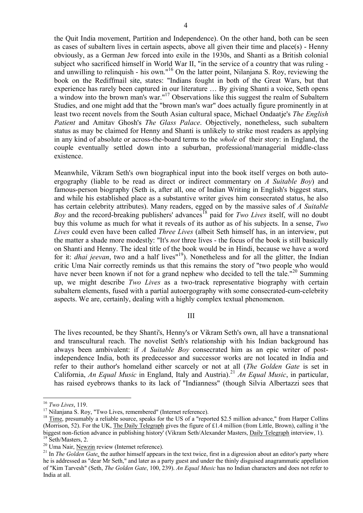the Quit India movement, Partition and Independence). On the other hand, both can be seen as cases of subaltern lives in certain aspects, above all given their time and place(s) - Henny obviously, as a German Jew forced into exile in the 1930s, and Shanti as a British colonial subject who sacrificed himself in World War II, "in the service of a country that was ruling and unwilling to relinquish - his own." <sup>16</sup> On the latter point, Nilanjana S. Roy, reviewing the book on the Rediffmail site, states: "Indians fought in both of the Great Wars, but that experience has rarely been captured in our literature … By giving Shanti a voice, Seth opens a window into the brown man's war."<sup>17</sup> Observations like this suggest the realm of Subaltern Studies, and one might add that the "brown man's war" does actually figure prominently in at least two recent novels from the South Asian cultural space, Michael Ondaatje's *The English Patient* and Amitav Ghosh's *The Glass Palace*. Objectively, nonetheless, such subaltern status as may be claimed for Henny and Shanti is unlikely to strike most readers as applying in any kind of absolute or across-the-board terms to the *whole* of their story: in England, the couple eventually settled down into a suburban, professional/managerial middle-class existence.

Meanwhile, Vikram Seth's own biographical input into the book itself verges on both autoergography (liable to be read as direct or indirect commentary on *A Suitable Boy*) and famous-person biography (Seth is, after all, one of Indian Writing in English's biggest stars, and while his established place as a substantive writer gives him consecrated status, he also has certain celebrity attributes). Many readers, egged on by the massive sales of *A Suitable Boy* and the record-breaking publishers' advances<sup>18</sup> paid for *Two Lives* itself, will no doubt buy this volume as much for what it reveals of its author as of his subjects. In a sense, *Two Lives* could even have been called *Three Lives* (albeit Seth himself has, in an interview, put the matter a shade more modestly: "It's *not* three lives - the focus of the book is still basically on Shanti and Henny. The ideal title of the book would be in Hindi, because we have a word for it: *dhai jeevan*, two and a half lives<sup>"19</sup>). Nonetheless and for all the glitter, the Indian critic Uma Nair correctly reminds us that this remains the story of "two people who would have never been known if not for a grand nephew who decided to tell the tale."<sup>20</sup> Summing up, we might describe *Two Lives* as a two-track representative biography with certain subaltern elements, fused with a partial autoergography with some consecrated-cum-celebrity aspects. We are, certainly, dealing with a highly complex textual phenomenon.

## III

The lives recounted, be they Shanti's, Henny's or Vikram Seth's own, all have a transnational and transcultural reach. The novelist Seth's relationship with his Indian background has always been ambivalent: if *A Suitable Boy* consecrated him as an epic writer of postindependence India, both its predecessor and successor works are not located in India and refer to their author's homeland either scarcely or not at all (*The Golden Gate* is set in California, *An Equal Music* in England, Italy and Austria). <sup>21</sup> *An Equal Music*, in particular, has raised eyebrows thanks to its lack of "Indianness" (though Silvia Albertazzi sees that

<sup>16</sup> *Two Lives*, 119.

<sup>&</sup>lt;sup>17</sup> Nilanjana S. Roy, "Two Lives, remembered" (Internet reference).

<sup>&</sup>lt;sup>18</sup> Time, presumably a reliable source, speaks for the US of a "reported \$2.5 million advance," from Harper Collins (Morrison, 52). For the UK, The Daily Telegraph gives the figure of £1.4 million (from Little, Brown), calling it 'the biggest non-fiction advance in publishing history' (Vikram Seth/Alexander Masters, Daily Telegraph interview, 1). <sup>19</sup> Seth/Masters, 2.

<sup>&</sup>lt;sup>20</sup> Uma Nair, Newzin review (Internet reference).

<sup>&</sup>lt;sup>21</sup> In *The Golden Gate*, the author himself appears in the text twice, first in a digression about an editor's party where he is addressed as "dear Mr Seth," and later as a party guest and under the thinly disguised anagrammatic appellation of "Kim Tarvesh" (Seth, *The Golden Gate*, 100, 239). *An Equal Music* has no Indian characters and does not refer to India at all.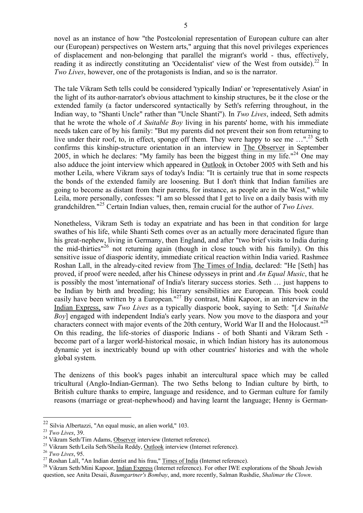novel as an instance of how "the Postcolonial representation of European culture can alter our (European) perspectives on Western arts," arguing that this novel privileges experiences of displacement and non-belonging that parallel the migrant's world - thus, effectively, reading it as indirectly constituting an 'Occidentalist' view of the West from outside).<sup>22</sup> In *Two Lives*, however, one of the protagonists is Indian, and so is the narrator.

The tale Vikram Seth tells could be considered 'typically Indian' or 'representatively Asian' in the light of its author-narrator's obvious attachment to kinship structures, be it the close or the extended family (a factor underscored syntactically by Seth's referring throughout, in the Indian way, to "Shanti Uncle" rather than "Uncle Shanti"). In *Two Lives*, indeed, Seth admits that he wrote the whole of *A Suitable Boy* living in his parents' home, with his immediate needs taken care of by his family: "But my parents did not prevent their son from returning to live under their roof, to, in effect, sponge off them. They were happy to see me ...".<sup>23</sup> Seth confirms this kinship-structure orientation in an interview in The Observer in September 2005, in which he declares: "My family has been the biggest thing in my life."<sup>24</sup> One may also adduce the joint interview which appeared in Outlook in October 2005 with Seth and his mother Leila, where Vikram says of today's India: "It is certainly true that in some respects the bonds of the extended family are loosening. But I don't think that Indian families are going to become as distant from their parents, for instance, as people are in the West," while Leila, more personally, confesses: "I am so blessed that I get to live on a daily basis with my grandchildren." <sup>25</sup> Certain Indian values, then, remain crucial for the author of *Two Lives*.

Nonetheless, Vikram Seth is today an expatriate and has been in that condition for large swathes of his life, while Shanti Seth comes over as an actually more deracinated figure than his great-nephew, living in Germany, then England, and after "two brief visits to India during the mid-thirties" <sup>26</sup> not returning again (though in close touch with his family). On this sensitive issue of diasporic identity, immediate critical reaction within India varied. Rashmee Roshan Lall, in the already-cited review from The Times of India, declared: "He [Seth] has proved, if proof were needed, after his Chinese odysseys in print and *An Equal Music*, that he is possibly the most 'international' of India's literary success stories. Seth … just happens to be Indian by birth and breeding; his literary sensibilities are European. This book could easily have been written by a European."<sup>27</sup> By contrast, Mini Kapoor, in an interview in the Indian Express, saw *Two Lives* as a typically diasporic book, saying to Seth: "[*A Suitable Boy*] engaged with independent India's early years. Now you move to the diaspora and your characters connect with major events of the 20th century, World War II and the Holocaust."<sup>28</sup> On this reading, the life-stories of diasporic Indians - of both Shanti and Vikram Seth become part of a larger world-historical mosaic, in which Indian history has its autonomous dynamic yet is inextricably bound up with other countries' histories and with the whole global system.

The denizens of this book's pages inhabit an intercultural space which may be called tricultural (Anglo-Indian-German). The two Seths belong to Indian culture by birth, to British culture thanks to empire, language and residence, and to German culture for family reasons (marriage or great-nephewhood) and having learnt the language; Henny is German-

<sup>22</sup> Silvia Albertazzi, "An equal music, an alien world," 103.

<sup>23</sup> *Two Lives*, 39.

<sup>&</sup>lt;sup>24</sup> Vikram Seth/Tim Adams, Observer interview (Internet reference).

<sup>&</sup>lt;sup>25</sup> Vikram Seth/Leila Seth/Sheila Reddy, Outlook interview (Internet reference).

<sup>26</sup> *Two Lives*, 95.

 $27$  Roshan Lall, "An Indian dentist and his frau," Times of India (Internet reference).

<sup>&</sup>lt;sup>28</sup> Vikram Seth/Mini Kapoor, *Indian Express* (Internet reference). For other IWE explorations of the Shoah Jewish question, see Anita Desaii, *Baumgartner's Bombay*, and, more recently, Salman Rushdie, *Shalimar the Clown*.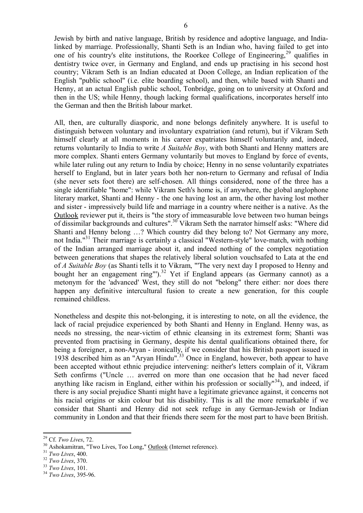Jewish by birth and native language, British by residence and adoptive language, and Indialinked by marriage. Professionally, Shanti Seth is an Indian who, having failed to get into one of his country's elite institutions, the Roorkee College of Engineering, <sup>29</sup> qualifies in dentistry twice over, in Germany and England, and ends up practising in his second host country; Vikram Seth is an Indian educated at Doon College, an Indian replication of the English "public school" (i.e. elite boarding school), and then, while based with Shanti and Henny, at an actual English public school, Tonbridge, going on to university at Oxford and then in the US; while Henny, though lacking formal qualifications, incorporates herself into the German and then the British labour market.

All, then, are culturally diasporic, and none belongs definitely anywhere. It is useful to distinguish between voluntary and involuntary expatriation (and return), but if Vikram Seth himself clearly at all moments in his career expatriates himself voluntarily and, indeed, returns voluntarily to India to write *A Suitable Boy*, with both Shanti and Henny matters are more complex. Shanti enters Germany voluntarily but moves to England by force of events, while later ruling out any return to India by choice; Henny in no sense voluntarily expatriates herself to England, but in later years both her non-return to Germany and refusal of India (she never sets foot there) are self-chosen. All things considered, none of the three has a single identifiable "home": while Vikram Seth's home is, if anywhere, the global anglophone literary market, Shanti and Henny - the one having lost an arm, the other having lost mother and sister - impressively build life and marriage in a country where neither is a native. As the Outlook reviewer put it, theirs is "the story of immeasurable love between two human beings of dissimilar backgrounds and cultures".<sup>30</sup> Vikram Seth the narrator himself asks: "Where did Shanti and Henny belong …? Which country did they belong to? Not Germany any more, not India." <sup>31</sup> Their marriage is certainly a classical "Western-style" love-match, with nothing of the Indian arranged marriage about it, and indeed nothing of the complex negotiation between generations that shapes the relatively liberal solution vouchsafed to Lata at the end of *A Suitable Boy* (as Shanti tells it to Vikram, "'The very next day I proposed to Henny and bought her an engagement ring"').<sup>32</sup> Yet if England appears (as Germany cannot) as a metonym for the 'advanced' West, they still do not "belong" there either: nor does there happen any definitive intercultural fusion to create a new generation, for this couple remained childless.

Nonetheless and despite this not-belonging, it is interesting to note, on all the evidence, the lack of racial prejudice experienced by both Shanti and Henny in England. Henny was, as needs no stressing, the near-victim of ethnic cleansing in its extremest form; Shanti was prevented from practising in Germany, despite his dental qualifications obtained there, for being a foreigner, a non-Aryan - ironically, if we consider that his British passport issued in 1938 described him as an "Aryan Hindu". <sup>33</sup> Once in England, however, both appear to have been accepted without ethnic prejudice intervening: neither's letters complain of it, Vikram Seth confirms ("Uncle … averred on more than one occasion that he had never faced anything like racism in England, either within his profession or socially<sup> $n<sup>34</sup>$ ), and indeed, if</sup> there is any social prejudice Shanti might have a legitimate grievance against, it concerns not his racial origins or skin colour but his disability. This is all the more remarkable if we consider that Shanti and Henny did not seek refuge in any German-Jewish or Indian community in London and that their friends there seem for the most part to have been British.

<sup>29</sup> Cf. *Two Lives*, 72.

<sup>&</sup>lt;sup>30</sup> Ashokamitran, "Two Lives, Too Long," **Outlook** (Internet reference).

<sup>31</sup> *Two Lives*, 400.

<sup>32</sup> *Two Lives*, 370.

<sup>33</sup> *Two Lives*, 101.

<sup>34</sup> *Two Lives*, 395-96.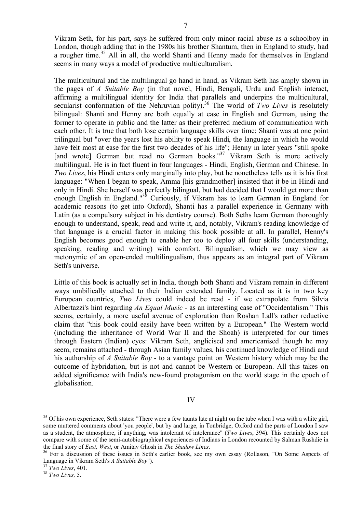Vikram Seth, for his part, says he suffered from only minor racial abuse as a schoolboy in London, though adding that in the 1980s his brother Shantum, then in England to study, had a rougher time.<sup>35</sup> All in all, the world Shanti and Henny made for themselves in England seems in many ways a model of productive multiculturalism.

The multicultural and the multilingual go hand in hand, as Vikram Seth has amply shown in the pages of *A Suitable Boy* (in that novel, Hindi, Bengali, Urdu and English interact, affirming a multilingual identity for India that parallels and underpins the multicultural, secularist conformation of the Nehruvian polity). <sup>36</sup> The world of *Two Lives* is resolutely bilingual: Shanti and Henny are both equally at ease in English and German, using the former to operate in public and the latter as their preferred medium of communication with each other. It is true that both lose certain language skills over time: Shanti was at one point trilingual but "over the years lost his ability to speak Hindi, the language in which he would have felt most at ease for the first two decades of his life"; Henny in later years "still spoke [and wrote] German but read no German books."<sup>37</sup> Vikram Seth is more actively multilingual. He is in fact fluent in four languages - Hindi, English, German and Chinese. In *Two Lives*, his Hindi enters only marginally into play, but he nonetheless tells us it is his first language: "When I began to speak, Amma [his grandmother] insisted that it be in Hindi and only in Hindi. She herself was perfectly bilingual, but had decided that I would get more than enough English in England."<sup>38</sup> Curiously, if Vikram has to learn German in England for academic reasons (to get into Oxford), Shanti has a parallel experience in Germany with Latin (as a compulsory subject in his dentistry course). Both Seths learn German thoroughly enough to understand, speak, read and write it, and, notably, Vikram's reading knowledge of that language is a crucial factor in making this book possible at all. In parallel, Henny's English becomes good enough to enable her too to deploy all four skills (understanding, speaking, reading and writing) with comfort. Bilingualism, which we may view as metonymic of an open-ended multilingualism, thus appears as an integral part of Vikram Seth's universe.

Little of this book is actually set in India, though both Shanti and Vikram remain in different ways umbilically attached to their Indian extended family. Located as it is in two key European countries, *Two Lives* could indeed be read - if we extrapolate from Silvia Albertazzi's hint regarding *An Equal Music* - as an interesting case of "Occidentalism." This seems, certainly, a more useful avenue of exploration than Roshan Lall's rather reductive claim that "this book could easily have been written by a European." The Western world (including the inheritance of World War II and the Shoah) is interpreted for our times through Eastern (Indian) eyes: Vikram Seth, anglicised and americanised though he may seem, remains attached - through Asian family values, his continued knowledge of Hindi and his authorship of *A Suitable Boy* - to a vantage point on Western history which may be the outcome of hybridation, but is not and cannot be Western or European. All this takes on added significance with India's new-found protagonism on the world stage in the epoch of globalisation.

## IV

<sup>&</sup>lt;sup>35</sup> Of his own experience, Seth states: "There were a few taunts late at night on the tube when I was with a white girl, some muttered comments about 'you people', but by and large, in Tonbridge, Oxford and the parts of London I saw as a student, the atmosphere, if anything, was intolerant of intolerance" (*Two Lives*, 394). This certainly does not compare with some of the semi-autobiographical experiences of Indians in London recounted by Salman Rushdie in the final story of *East, West*, or Amitav Ghosh in *The Shadow Lines*.

<sup>&</sup>lt;sup>36</sup> For a discussion of these issues in Seth's earlier book, see my own essay (Rollason, "On Some Aspects of Language in Vikram Seth's *A Suitable Boy*").

<sup>37</sup> *Two Lives*, 401.

<sup>38</sup> *Two Lives,* 5.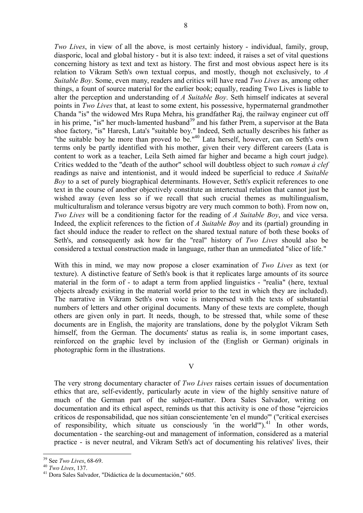*Two Lives*, in view of all the above, is most certainly history - individual, family, group, diasporic, local and global history - but it is also text: indeed, it raises a set of vital questions concerning history as text and text as history. The first and most obvious aspect here is its relation to Vikram Seth's own textual corpus, and mostly, though not exclusively, to *A Suitable Boy*. Some, even many, readers and critics will have read *Two Lives* as, among other things, a fount of source material for the earlier book; equally, reading Two Lives is liable to alter the perception and understanding of *A Suitable Boy*. Seth himself indicates at several points in *Two Lives* that, at least to some extent, his possessive, hypermaternal grandmother Chanda "is" the widowed Mrs Rupa Mehra, his grandfather Raj, the railway engineer cut off in his prime, "is" her much-lamented husband<sup>39</sup> and his father Prem, a supervisor at the Bata shoe factory, "is" Haresh, Lata's "suitable boy." Indeed, Seth actually describes his father as "the suitable boy he more than proved to be."<sup>40</sup> Lata herself, however, can on Seth's own terms only be partly identified with his mother, given their very different careers (Lata is content to work as a teacher, Leila Seth aimed far higher and became a high court judge). Critics wedded to the "death of the author" school will doubtless object to such *roman à clef* readings as naive and intentionist, and it would indeed be superficial to reduce *A Suitable Boy* to a set of purely biographical determinants. However, Seth's explicit references to one text in the course of another objectively constitute an intertextual relation that cannot just be wished away (even less so if we recall that such crucial themes as multilingualism, multiculturalism and tolerance versus bigotry are very much common to both). From now on, *Two Lives* will be a conditioning factor for the reading of *A Suitable Boy*, and vice versa. Indeed, the explicit references to the fiction of *A Suitable Boy* and its (partial) grounding in fact should induce the reader to reflect on the shared textual nature of both these books of Seth's, and consequently ask how far the "real" history of *Two Lives* should also be considered a textual construction made in language, rather than an unmediated "slice of life."

With this in mind, we may now propose a closer examination of *Two Lives* as text (or texture). A distinctive feature of Seth's book is that it replicates large amounts of its source material in the form of - to adapt a term from applied linguistics - "realia" (here, textual objects already existing in the material world prior to the text in which they are included). The narrative in Vikram Seth's own voice is interspersed with the texts of substantial numbers of letters and other original documents. Many of these texts are complete, though others are given only in part. It needs, though, to be stressed that, while some of these documents are in English, the majority are translations, done by the polyglot Vikram Seth himself, from the German. The documents' status as realia is, in some important cases, reinforced on the graphic level by inclusion of the (English or German) originals in photographic form in the illustrations.

V

The very strong documentary character of *Two Lives* raises certain issues of documentation ethics that are, self-evidently, particularly acute in view of the highly sensitive nature of much of the German part of the subject-matter. Dora Sales Salvador, writing on documentation and its ethical aspect, reminds us that this activity is one of those "ejercicios críticos de responsabilidad, que nos sitúan conscientemente 'en el mundo'" ("critical exercises of responsibility, which situate us consciously 'in the world'").<sup>41</sup> In other words, documentation - the searching-out and management of information, considered as a material practice - is never neutral, and Vikram Seth's act of documenting his relatives' lives, their

<sup>39</sup> See *Two Lives*, 68-69.

<sup>40</sup> *Two Lives*, 137.

<sup>41</sup> Dora Sales Salvador, "Didáctica de la documentación," 605.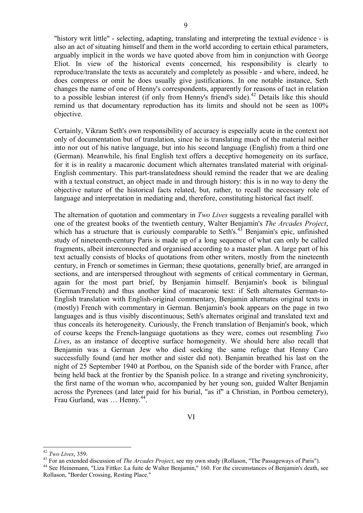"history writ little" - selecting, adapting, translating and interpreting the textual evidence - is also an act of situating himself and them in the world according to certain ethical parameters, arguably implicit in the words we have quoted above from him in conjunction with George Eliot. In view of the historical events concerned, his responsibility is clearly to reproduce/translate the texts as accurately and completely as possible - and where, indeed, he does compress or omit he does usually give justifications. In one notable instance, Seth changes the name of one of Henny's correspondents, apparently for reasons of tact in relation to a possible lesbian interest (if only from Henny's friend's side). <sup>42</sup> Details like this should remind us that documentary reproduction has its limits and should not be seen as 100% objective.

Certainly, Vikram Seth's own responsibility of accuracy is especially acute in the context not only of documentation but of translation, since he is translating much of the material neither into nor out of his native language, but into his second language (English) from a third one (German). Meanwhile, his final English text offers a deceptive homogeneity on its surface, for it is in reality a macaronic document which alternates translated material with original-English commentary. This part-translatedness should remind the reader that we are dealing with a textual construct, an object made in and through history: this is in no way to deny the objective nature of the historical facts related, but, rather, to recall the necessary role of language and interpretation in mediating and, therefore, constituting historical fact itself.

The alternation of quotation and commentary in *Two Lives* suggests a revealing parallel with one of the greatest books of the twentieth century, Walter Benjamin's *The Arcades Project*, which has a structure that is curiously comparable to Seth's.<sup>43</sup> Benjamin's epic, unfinished study of nineteenth-century Paris is made up of a long sequence of what can only be called fragments, albeit interconnected and organised according to a master plan. A large part of his text actually consists of blocks of quotations from other writers, mostly from the nineteenth century, in French or sometimes in German; these quotations, generally brief, are arranged in sections, and are interspersed throughout with segments of critical commentary in German, again for the most part brief, by Benjamin himself. Benjamin's book is bilingual (German/French) and thus another kind of macaronic text: if Seth alternates German-to-English translation with English-original commentary, Benjamin alternates original texts in (mostly) French with commentary in German. Benjamin's book appears on the page in two languages and is thus visibly discontinuous; Seth's alternates original and translated text and thus conceals its heterogeneity. Curiously, the French translation of Benjamin's book, which of course keeps the French-language quotations as they were, comes out resembling *Two Lives*, as an instance of deceptive surface homogeneity. We should here also recall that Benjamin was a German Jew who died seeking the same refuge that Henny Caro successfully found (and her mother and sister did not). Benjamin breathed his last on the night of 25 September 1940 at Portbou, on the Spanish side of the border with France, after being held back at the frontier by the Spanish police. In a strange and riveting synchronicity, the first name of the woman who, accompanied by her young son, guided Walter Benjamin across the Pyrenees (and later paid for his burial, "as if" a Christian, in Portbou cemetery), Frau Gurland, was ... Henny.<sup>44</sup>.

<sup>42</sup> *Two Lives*, 359.

<sup>43</sup> For an extended discussion of *The Arcades Project*, see my own study (Rollason, "The Passageways of Paris").

<sup>44</sup> See Heinemann, "Liza Fittko: La fuite de Walter Benjamin," 160. For the circumstances of Benjamin's death, see Rollason, "Border Crossing, Resting Place."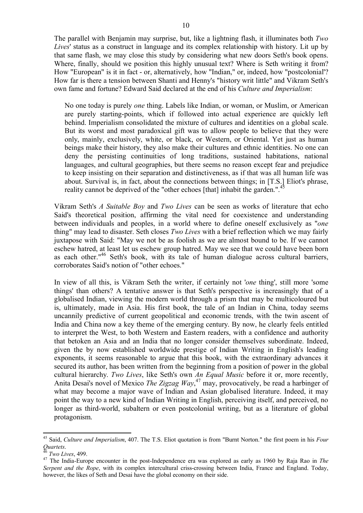The parallel with Benjamin may surprise, but, like a lightning flash, it illuminates both *Two Lives*' status as a construct in language and its complex relationship with history. Lit up by that same flash, we may close this study by considering what new doors Seth's book opens. Where, finally, should we position this highly unusual text? Where is Seth writing it from? How "European" is it in fact - or, alternatively, how "Indian," or, indeed, how "postcolonial'? How far is there a tension between Shanti and Henny's "history writ little" and Vikram Seth's own fame and fortune? Edward Said declared at the end of his *Culture and Imperialism*:

No one today is purely *one* thing. Labels like Indian, or woman, or Muslim, or American are purely starting-points, which if followed into actual experience are quickly left behind. Imperialism consolidated the mixture of cultures and identities on a global scale. But its worst and most paradoxical gift was to allow people to believe that they were only, mainly, exclusively, white, or black, or Western, or Oriental. Yet just as human beings make their history, they also make their cultures and ethnic identities. No one can deny the persisting continuities of long traditions, sustained habitations, national languages, and cultural geographies, but there seems no reason except fear and prejudice to keep insisting on their separation and distinctiveness, as if that was all human life was about. Survival is, in fact, about the connections between things; in [T.S.] Eliot's phrase, reality cannot be deprived of the "other echoes [that] inhabit the garden.".<sup>45</sup>

Vikram Seth's *A Suitable Boy* and *Two Lives* can be seen as works of literature that echo Said's theoretical position, affirming the vital need for coexistence and understanding between individuals and peoples, in a world where to define oneself exclusively as "*one*  thing" may lead to disaster. Seth closes *Two Lives* with a brief reflection which we may fairly juxtapose with Said: "May we not be as foolish as we are almost bound to be. If we cannot eschew hatred, at least let us eschew group hatred. May we see that we could have been born as each other.<sup>"46</sup> Seth's book, with its tale of human dialogue across cultural barriers, corroborates Said's notion of "other echoes."

In view of all this, is Vikram Seth the writer, if certainly not '*one* thing', still more 'some things' than others? A tentative answer is that Seth's perspective is increasingly that of a globalised Indian, viewing the modern world through a prism that may be multicoloured but is, ultimately, made in Asia. His first book, the tale of an Indian in China, today seems uncannily predictive of current geopolitical and economic trends, with the twin ascent of India and China now a key theme of the emerging century. By now, he clearly feels entitled to interpret the West, to both Western and Eastern readers, with a confidence and authority that betoken an Asia and an India that no longer consider themselves subordinate. Indeed, given the by now established worldwide prestige of Indian Writing in English's leading exponents, it seems reasonable to argue that this book, with the extraordinary advances it secured its author, has been written from the beginning from a position of power in the global cultural hierarchy. *Two Lives*, like Seth's own *An Equal Music* before it or, more recently, Anita Desai's novel of Mexico *The Zigzag Way*, <sup>47</sup> may, provocatively, be read a harbinger of what may become a major wave of Indian and Asian globalised literature. Indeed, it may point the way to a new kind of Indian Writing in English, perceiving itself, and perceived, no longer as third-world, subaltern or even postcolonial writing, but as a literature of global protagonism.

<sup>45</sup> Said, *Culture and Imperialism*, 407. The T.S. Eliot quotation is from "Burnt Norton." the first poem in his *Four Quartets*.

<sup>46</sup> *Two Lives*, 499.

<sup>47</sup> The India-Europe encounter in the post-Independence era was explored as early as 1960 by Raja Rao in *The Serpent and the Rope*, with its complex intercultural criss-crossing between India, France and England. Today, however, the likes of Seth and Desai have the global economy on their side.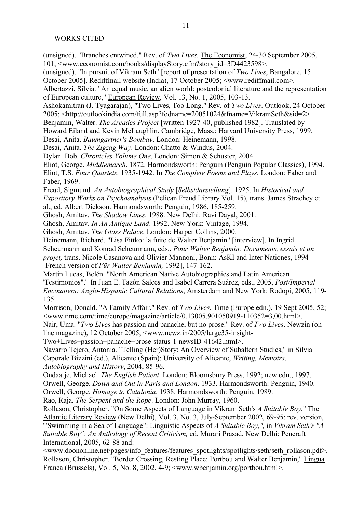(unsigned). "Branches entwined." Rev. of *Two Lives*. The Economist, 24-30 September 2005, 101; <www.economist.com/books/displayStory.cfm?story\_id=3D4423598>.

(unsigned). "In pursuit of Vikram Seth" [report of presentation of *Two Lives*, Bangalore, 15

October 2005]. Rediffmail website (India), 17 October 2005; <www.rediffmail.com>.

Albertazzi, Silvia. "An equal music, an alien world: postcolonial literature and the representation of European culture," European Review, Vol. 13, No. 1, 2005, 103-13.

Ashokamitran (J. Tyagarajan), "Two Lives, Too Long." Rev. of *Two Lives*. Outlook, 24 October

2005; <http://outlookindia.com/full.asp?fodname=20051024&fname=VikramSeth&sid=2>.

Benjamin, Walter. *The Arcades Project* [written 1927-40, published 1982]. Translated by

Howard Eiland and Kevin McLaughlin. Cambridge, Mass.: Harvard University Press, 1999.

Desai, Anita. *Baumgartner's Bombay*. London: Heinemann, 1998.

Desai, Anita. *The Zigzag Way*. London: Chatto & Windus, 2004.

Dylan. Bob. *Chronicles Volume One*. London: Simon & Schuster, 2004.

Eliot, George. *Middlemarch*. 1872. Harmondsworth: Penguin (Penguin Popular Classics), 1994.

Eliot, T.S. *Four Quartets*. 1935-1942. In *The Complete Poems and Plays*. London: Faber and Faber, 1969.

Freud, Sigmund. *An Autobiographical Study* [*Selbstdarstellung*]. 1925. In *Historical and* 

*Expository Works on Psychoanalysis* (Pelican Freud Library Vol. 15), trans. James Strachey et al., ed. Albert Dickson. Harmondsworth: Penguin, 1986, 185-259.

Ghosh, Amitav. *The Shadow Lines*. 1988. New Delhi: Ravi Dayal, 2001.

Ghosh, Amitav. *In An Antique Land*. 1992. New York: Vintage, 1994.

Ghosh, Amitav. *The Glass Palace*. London: Harper Collins, 2000.

Heinemann, Richard. "Lisa Fittko: la fuite de Walter Benjamin" [interview]. In Ingrid Scheurmann and Konrad Scheurmann, eds., *Pour Walter Benjamin: Documents, essais et un projet,* trans. Nicole Casanova and Olivier Mannoni, Bonn: AsKI and Inter Nationes, 1994 [French version of *Für Walter Benjamin,* 1992], 147-162.

Martín Lucas, Belén. "North American Native Autobiographies and Latin American 'Testimonios".' In Juan E. Tazón Salces and Isabel Carrera Suárez, eds., 2005, *Post/Imperial Encounters: Anglo-Hispanic Cultural Relations*, Amsterdam and New York: Rodopi, 2005, 119- 135.

Morrison, Donald. "A Family Affair." Rev. of *Two Lives*. Time (Europe edn.), 19 Sept 2005, 52;  $\langle$ www.time.com/time/europe/magazine/article/0,13005,901050919-110352=3,00.html>.

Nair, Uma. "*Two Lives* has passion and panache, but no prose." Rev. of *Two Lives*. Newzin (online magazine), 12 October 2005;  $\langle$ www.newz.in/2005/large35-insight-

Two+Lives+passion+panache+prose-status-1-newsID-41642.html>.

Navarro Tejero, Antonia. "Telling (Her)Story: An Overview of Subaltern Studies," in Silvia Caporale Bizzini (ed.), Alicante (Spain): University of Alicante, *Writing, Memoirs, Autobiography and History*, 2004, 85-96.

Ondaatje, Michael. *The English Patient*. London: Bloomsbury Press, 1992; new edn., 1997. Orwell, George. *Down and Out in Paris and London*. 1933. Harmondsworth: Penguin, 1940. Orwell, George. *Homage to Catalonia*. 1938. Harmondsworth: Penguin, 1989.

Rao, Raja. *The Serpent and the Rope*. London: John Murray, 1960.

Rollason, Christopher. "On Some Aspects of Language in Vikram Seth's *A Suitable Boy*," The Atlantic Literary Review (New Delhi), Vol. 3, No. 3, July-September 2002, 69-95; rev. version, '"Swimming in a Sea of Language": Linguistic Aspects of *A Suitable Boy,",* in *Vikram Seth's "A Suitable Boy": An Anthology of Recent Criticism,* ed. Murari Prasad, New Delhi: Pencraft International, 2005, 62-88 and:

<www.doononline.net/pages/info\_features/features\_spotlights/spotlights/seth/seth\_rollason.pdf>. Rollason, Christopher. "Border Crossing, Resting Place: Portbou and Walter Benjamin," Lingua Franca (Brussels), Vol. 5, No. 8, 2002, 4-9; <www.wbenjamin.org/portbou.html>.